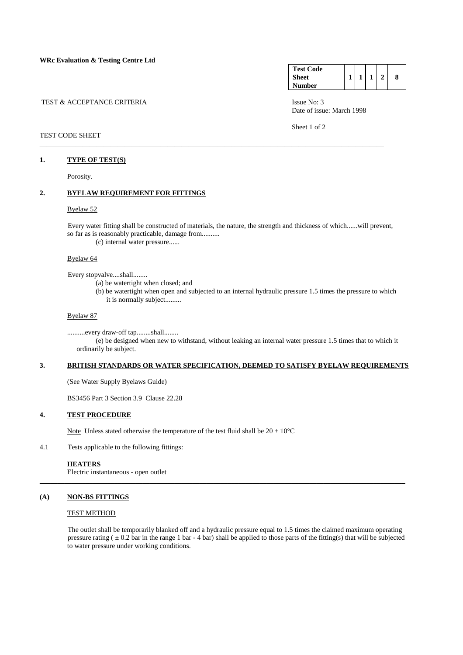|  | TEST & ACCEPTANCE CRITERIA |  |
|--|----------------------------|--|
|  |                            |  |

### TEST CODE SHEET

### **1. TYPE OF TEST(S)**

Porosity.

## **2. BYELAW REQUIREMENT FOR FITTINGS**

#### Byelaw 52

 Every water fitting shall be constructed of materials, the nature, the strength and thickness of which......will prevent, so far as is reasonably practicable, damage from..........

\_\_\_\_\_\_\_\_\_\_\_\_\_\_\_\_\_\_\_\_\_\_\_\_\_\_\_\_\_\_\_\_\_\_\_\_\_\_\_\_\_\_\_\_\_\_\_\_\_\_\_\_\_\_\_\_\_\_\_\_\_\_\_\_\_\_\_\_\_\_\_\_\_\_\_\_\_\_\_\_\_\_\_\_\_\_\_\_\_\_\_\_\_\_\_\_\_

(c) internal water pressure......

### Byelaw 64

Every stopvalve....shall........

(a) be watertight when closed; and

 (b) be watertight when open and subjected to an internal hydraulic pressure 1.5 times the pressure to which it is normally subject.........

#### Byelaw 87

 ..........every draw-off tap........shall........ (e) be designed when new to withstand, without leaking an internal water pressure 1.5 times that to which it ordinarily be subject.

### **3. BRITISH STANDARDS OR WATER SPECIFICATION, DEEMED TO SATISFY BYELAW REQUIREMENTS**

(See Water Supply Byelaws Guide)

BS3456 Part 3 Section 3.9 Clause 22.28

### **4. TEST PROCEDURE**

Note Unless stated otherwise the temperature of the test fluid shall be  $20 \pm 10^{\circ}$ C

4.1 Tests applicable to the following fittings:

### **HEATERS**

Electric instantaneous - open outlet

### **(A) NON-BS FITTINGS**

### TEST METHOD

 The outlet shall be temporarily blanked off and a hydraulic pressure equal to 1.5 times the claimed maximum operating pressure rating  $( \pm 0.2 \text{ bar in the range 1 bar - 4 bar})$  shall be applied to those parts of the fitting(s) that will be subjected to water pressure under working conditions.

**\_\_\_\_\_\_\_\_\_\_\_\_\_\_\_\_\_\_\_\_\_\_\_\_\_\_\_\_\_\_\_\_\_\_\_\_\_\_\_\_\_\_\_\_\_\_\_\_\_\_\_\_\_\_\_\_\_\_\_\_\_\_\_\_\_\_\_\_\_\_\_\_\_\_\_\_\_\_\_\_\_\_\_\_\_\_\_\_\_\_\_\_\_\_\_\_\_\_\_\_\_\_\_**

| <b>Test Code</b> |  |   |   |
|------------------|--|---|---|
| <b>Sheet</b>     |  | 1 | 8 |
| Number           |  |   |   |

Issue No: 3 Date of issue: March 1998

Sheet 1 of 2